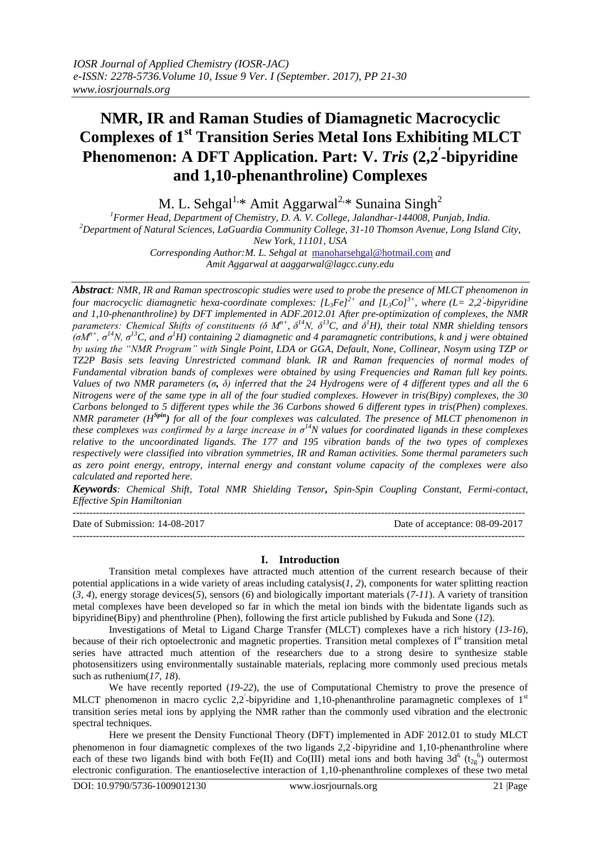# **NMR, IR and Raman Studies of Diamagnetic Macrocyclic Complexes of 1 st Transition Series Metal Ions Exhibiting MLCT Phenomenon: A DFT Application. Part: V.** *Tris* **(2,2 -bipyridine and 1,10-phenanthroline) Complexes**

M. L. Sehgal<sup>1,\*</sup> Amit Aggarwal<sup>2,\*</sup> Sunaina Singh<sup>2</sup>

*<sup>1</sup>Former Head, Department of Chemistry, D. A. V. College, Jalandhar-144008, Punjab, India. <sup>2</sup>Department of Natural Sciences, LaGuardia Community College, 31-10 Thomson Avenue, Long Island City, New York, 11101, USA Corresponding Author:M. L. Sehgal at* [manoharsehgal@hotmail.com](mailto:manoharsehgal@hotmail.com) *and Amit Aggarwal at aaggarwal@lagcc.cuny.edu*

*Abstract: NMR, IR and Raman spectroscopic studies were used to probe the presence of MLCT phenomenon in four macrocyclic diamagnetic hexa-coordinate complexes: [L3Fe]2+ and [L3Co]3+, where (L= 2,2 -bipyridine and 1,10-phenanthroline) by DFT implemented in ADF.2012.01 After pre-optimization of complexes, the NMR parameters: Chemical Shifts of constituents (δ Mn+ , δ <sup>14</sup>N, δ<sup>13</sup>C, and δ <sup>1</sup>H), their total NMR shielding tensors (σMn+ , σ <sup>14</sup>N, σ<sup>13</sup>C, and σ <sup>1</sup>H) containing 2 diamagnetic and 4 paramagnetic contributions, k and j were obtained by using the "NMR Program" with Single Point, LDA or GGA, Default, None, Collinear, Nosym using TZP or TZ2P Basis sets leaving Unrestricted command blank. IR and Raman frequencies of normal modes of Fundamental vibration bands of complexes were obtained by using Frequencies and Raman full key points. Values of two NMR parameters (σ, δ) inferred that the 24 Hydrogens were of 4 different types and all the 6 Nitrogens were of the same type in all of the four studied complexes. However in tris(Bipy) complexes, the 30 Carbons belonged to 5 different types while the 36 Carbons showed 6 different types in tris(Phen) complexes. NMR parameter (HSpin) for all of the four complexes was calculated. The presence of MLCT phenomenon in these complexes was confirmed by a large increase in σ<sup>14</sup>N values for coordinated ligands in these complexes relative to the uncoordinated ligands. The 177 and 195 vibration bands of the two types of complexes respectively were classified into vibration symmetries, IR and Raman activities. Some thermal parameters such as zero point energy, entropy, internal energy and constant volume capacity of the complexes were also calculated and reported here.*

*Keywords: Chemical Shift, Total NMR Shielding Tensor, Spin-Spin Coupling Constant, Fermi-contact, Effective Spin Hamiltonian* 

--------------------------------------------------------------------------------------------------------------------------------------- Date of Submission: 14-08-2017 Date of acceptance: 08-09-2017 ---------------------------------------------------------------------------------------------------------------------------------------

## **I. Introduction**

Transition metal complexes have attracted much attention of the current research because of their potential applications in a wide variety of areas including catalysis(*[1,](#page-8-0) [2](#page-8-1)*), components for water splitting reaction (*[3,](#page-8-2) [4](#page-8-3)*), energy storage devices(*[5](#page-8-4)*), sensors (*[6](#page-8-5)*) and biologically important materials (*[7-11](#page-8-6)*). A variety of transition metal complexes have been developed so far in which the metal ion binds with the bidentate ligands such as bipyridine(Bipy) and phenthroline (Phen), following the first article published by Fukuda and Sone (*[12](#page-8-7)*).

Investigations of Metal to Ligand Charge Transfer (MLCT) complexes have a rich history (*[13-16](#page-8-8)*), because of their rich optoelectronic and magnetic properties. Transition metal complexes of  $I<sup>st</sup>$  transition metal series have attracted much attention of the researchers due to a strong desire to synthesize stable photosensitizers using environmentally sustainable materials, replacing more commonly used precious metals such as ruthenium(*[17,](#page-8-9) [18](#page-8-10)*).

We have recently reported (*[19-22](#page-8-11)*), the use of Computational Chemistry to prove the presence of MLCT phenomenon in macro cyclic  $2,2$ -bipyridine and 1,10-phenanthroline paramagnetic complexes of  $1<sup>st</sup>$ transition series metal ions by applying the NMR rather than the commonly used vibration and the electronic spectral techniques.

Here we present the Density Functional Theory (DFT) implemented in ADF 2012.01 to study MLCT phenomenon in four diamagnetic complexes of the two ligands 2,2'-bipyridine and 1,10-phenanthroline where each of these two ligands bind with both Fe(II) and Co(III) metal ions and both having  $3d^6$  (t<sub>2g</sub><sup>6</sup>) outermost electronic configuration. The enantioselective interaction of 1,10-phenanthroline complexes of these two metal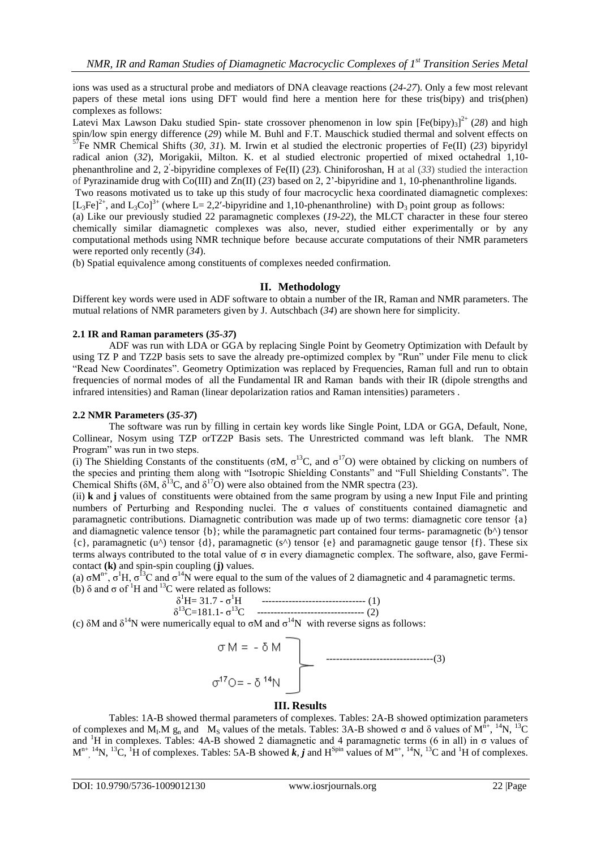ions was used as a structural probe and mediators of DNA cleavage reactions (*[24-27](#page-8-12)*). Only a few most relevant papers of these metal ions using DFT would find here a mention here for these tris(bipy) and tris(phen) complexes as follows:

Latevi Max Lawson Daku studied Spin- state crossover phenomenon in low spin [Fe(bipy)<sub>3</sub>]<sup>2+</sup> ([28](#page-8-13)) and high spin/low spin energy difference (*[29](#page-8-14)*) while M. Buhl and F.T. Mauschick studied thermal and solvent effects on  ${}^{57}$ E<sub>2</sub> NMP. Class is a straight of the solution of the M. Buhl and F.T. Mauschick studied thermal and solv <sup>7</sup>Fe NMR Chemical Shifts ([30,](#page-8-15) [31](#page-8-16)). M. Irwin et al studied the electronic properties of Fe(II) ([23](#page-8-17)) bipyridyl radical anion (*[32](#page-9-0)*), Morigakii, Milton. K. et al studied electronic propertied of mixed octahedral 1,10 phenanthroline and 2, 2 -bipyridine complexes of Fe(II) (*[23](#page-8-17)*). Chiniforoshan, H at al (*[33](#page-9-1)*) studied the interaction of Pyrazinamide drug with Co(III) and Zn(II) (*[23](#page-8-17)*) based on 2, 2'-bipyridine and 1, 10-phenanthroline ligands.

Two reasons motivated us to take up this study of four macrocyclic hexa coordinated diamagnetic complexes:  $[L_3Fe]^{2+}$ , and  $L_3Co]^{3+}$  (where  $L=2,2'$ -bipyridine and 1,10-phenanthroline) with  $D_3$  point group as follows:

(a) Like our previously studied 22 paramagnetic complexes (*[19-22](#page-8-11)*), the MLCT character in these four stereo chemically similar diamagnetic complexes was also, never, studied either experimentally or by any computational methods using NMR technique before because accurate computations of their NMR parameters were reported only recently (*[34](#page-9-2)*).

(b) Spatial equivalence among constituents of complexes needed confirmation.

## **II. Methodology**

Different key words were used in ADF software to obtain a number of the IR, Raman and NMR parameters. The mutual relations of NMR parameters given by J. Autschbach (*[34](#page-9-2)*) are shown here for simplicity.

## **2.1 IR and Raman parameters (***[35-37](#page-9-3)***)**

ADF was run with LDA or GGA by replacing Single Point by Geometry Optimization with Default by using TZ P and TZ2P basis sets to save the already pre-optimized complex by "Run" under File menu to click "Read New Coordinates". Geometry Optimization was replaced by Frequencies, Raman full and run to obtain frequencies of normal modes of all the Fundamental IR and Raman bands with their IR (dipole strengths and infrared intensities) and Raman (linear depolarization ratios and Raman intensities) parameters .

## **2.2 NMR Parameters (***[35-37](#page-9-3)***)**

The software was run by filling in certain key words like Single Point, LDA or GGA, Default, None, Collinear, Nosym using TZP orTZ2P Basis sets. The Unrestricted command was left blank. The NMR Program" was run in two steps.

(i) The Shielding Constants of the constituents ( $\sigma M$ ,  $\sigma^{13}C$ , and  $\sigma^{17}O$ ) were obtained by clicking on numbers of the species and printing them along with "Isotropic Shielding Constants" and "Full Shielding Constants". The Chemical Shifts ( $\delta M$ ,  $\delta^{13}C$ , and  $\delta^{17}O$ ) were also obtained from the NMR spectra [\(23\)](#page-8-17).

(ii) **k** and **j** values of constituents were obtained from the same program by using a new Input File and printing numbers of Perturbing and Responding nuclei. The  $\sigma$  values of constituents contained diamagnetic and paramagnetic contributions. Diamagnetic contribution was made up of two terms: diamagnetic core tensor {a} and diamagnetic valence tensor {b}; while the paramagnetic part contained four terms- paramagnetic (b^) tensor  $\{c\}$ , paramagnetic (u^) tensor  $\{d\}$ , paramagnetic (s^) tensor  $\{e\}$  and paramagnetic gauge tensor  $\{f\}$ . These six terms always contributed to the total value of  $\sigma$  in every diamagnetic complex. The software, also, gave Fermicontact **(k)** and spin-spin coupling (**j)** values.

(a)  $\sigma M^{n+}$ ,  $\sigma^1 H$ ,  $\sigma^{13}C$  and  $\sigma^{14}N$  were equal to the sum of the values of 2 diamagnetic and 4 paramagnetic terms. (b)  $\delta$  and  $\sigma$  of <sup>1</sup>H and <sup>13</sup>C were related as follows:

$$
\delta^{1}H = 31.7 - \sigma^{1}H
$$
 \n
$$
\delta^{13}C = 181.1 - \sigma^{13}C
$$
 \n
$$
\text{2}
$$

(c)  $\delta M$  and  $\delta^{14}N$  were numerically equal to  $\sigma M$  and  $\sigma^{14}N$  with reverse signs as follows:



## **III. Results**

Tables: 1A-B showed thermal parameters of complexes. Tables: 2A-B showed optimization parameters of complexes and M<sub>I</sub>.M  $g_n$  and M<sub>s</sub> values of the metals. Tables: 3A-B showed  $\sigma$  and  $\delta$  values of M<sup>n+</sup>, <sup>14</sup>N, <sup>13</sup>C and <sup>1</sup>H in complexes. Tables: 4A-B showed 2 diamagnetic and 4 paramagnetic terms (6 in all) in  $\sigma$  values of  $M^{n+}$ ,  $^{14}N$ ,  $^{13}C$ ,  $^{1}H$  of complexes. Tables: 5A-B showed  $\vec{k}$ ,  $\vec{j}$  and  $H^{Spin}$  values of  $M^{n+}$ ,  $^{14}N$ ,  $^{13}C$  and  $^{1}H$  of complexes.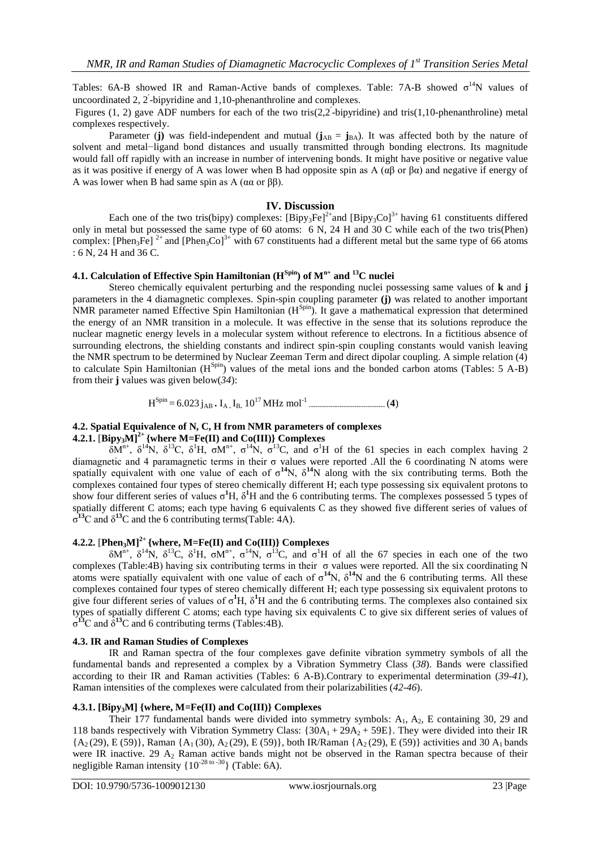Tables:  $6A-B$  showed IR and Raman-Active bands of complexes. Table:  $7A-B$  showed  $\sigma^{14}N$  values of uncoordinated 2, 2 -bipyridine and 1,10-phenanthroline and complexes.

Figures (1, 2) gave ADF numbers for each of the two tris( $2,2$ -bipyridine) and tris( $1,10$ -phenanthroline) metal complexes respectively.

Parameter (**j**) was field-independent and mutual ( $\mathbf{j}_{AB} = \mathbf{j}_{BA}$ ). It was affected both by the nature of solvent and metal−ligand bond distances and usually transmitted through bonding electrons. Its magnitude would fall off rapidly with an increase in number of intervening bonds. It might have positive or negative value as it was positive if energy of A was lower when B had opposite spin as A  $(\alpha\beta)$  or  $\beta\alpha)$  and negative if energy of A was lower when B had same spin as A (αα or ββ).

#### **IV. Discussion**

Each one of the two tris(bipy) complexes:  $[\text{Bipy}_3\text{Fe}]^{2+}$  and  $[\text{Bipy}_3\text{Co}]^{3+}$  having 61 constituents differed only in metal but possessed the same type of 60 atoms: 6 N, 24 H and 30 C while each of the two tris(Phen) complex: [Phen<sub>3</sub>Fe] <sup>2+</sup> and [Phen<sub>3</sub>Co]<sup>3+</sup> with 67 constituents had a different metal but the same type of 66 atoms : 6 N, 24 H and 36 C.

## **4.1. Calculation of Effective Spin Hamiltonian (HSpin) of Mn+ and <sup>13</sup>C nuclei**

Stereo chemically equivalent perturbing and the responding nuclei possessing same values of **k** and **j** parameters in the 4 diamagnetic complexes. Spin-spin coupling parameter **(j)** was related to another important NMR parameter named Effective Spin Hamiltonian  $(H^{\text{Spin}})$ . It gave a mathematical expression that determined the energy of an NMR transition in a molecule. It was effective in the sense that its solutions reproduce the nuclear magnetic energy levels in a molecular system without reference to electrons. In a fictitious absence of surrounding electrons, the shielding constants and indirect spin-spin coupling constants would vanish leaving the NMR spectrum to be determined by Nuclear Zeeman Term and direct dipolar coupling. A simple relation (4) to calculate Spin Hamiltonian  $(H^{Spin})$  values of the metal ions and the bonded carbon atoms (Tables: 5 A-B) from their **j** values was given below(*[34](#page-9-2)*):

$$
H^{\text{Spin}} = 6.023 \, j_{AB} \cdot I_{A} \cdot I_{B} \cdot 10^{17} \, MHz \, mol^{-1} \dots
$$

## **4.2. Spatial Equivalence of N, C, H from NMR parameters of complexes**

## **4.2.1.**  $[\text{Bipy}_3\text{M}]^{2+}$  {where M=Fe(II) and Co(III)} Complexes

 $\delta M^{n+}$ ,  $\delta^{14}N$ ,  $\delta^{13}C$ ,  $\delta^{1}H$ ,  $\sigma M^{n+}$ ,  $\sigma^{14}N$ ,  $\sigma^{13}C$ , and  $\sigma^{1}H$  of the 61 species in each complex having 2 diamagnetic and 4 paramagnetic terms in their σ values were reported .All the 6 coordinating N atoms were spatially equivalent with one value of each of  $\sigma^{14}N$ ,  $\delta^{14}N$  along with the six contributing terms. Both the complexes contained four types of stereo chemically different H; each type possessing six equivalent protons to show four different series of values  $\sigma^1$ H,  $\delta^1$ H and the 6 contributing terms. The complexes possessed 5 types of spatially different C atoms; each type having 6 equivalents C as they showed five different series of values of  $σ<sup>13</sup>C$  and  $δ<sup>13</sup>C$  and the 6 contributing terms(Table: 4A).

## **4.2.2.** [**Phen3M]2+ {where, M=Fe(II) and Co(III)} Complexes**

 $\delta M^{n+}$ ,  $\delta^{14}N$ ,  $\delta^{13}C$ ,  $\delta^1H$ ,  $\sigma M^{n+}$ ,  $\sigma^{14}N$ ,  $\sigma^{13}C$ , and  $\sigma^1H$  of all the 67 species in each one of the two complexes (Table:4B) having six contributing terms in their σ values were reported. All the six coordinating N atoms were spatially equivalent with one value of each of  $\sigma^{14}N$ ,  $\delta^{14}N$  and the 6 contributing terms. All these complexes contained four types of stereo chemically different H; each type possessing six equivalent protons to give four different series of values of  $\sigma^1$ H,  $\delta^1$ H and the 6 contributing terms. The complexes also contained six types of spatially different C atoms; each type having six equivalents C to give six different series of values of  $\sigma^{13}$ C and  $\delta^{13}$ C and 6 contributing terms (Tables:4B).

## **4.3. IR and Raman Studies of Complexes**

IR and Raman spectra of the four complexes gave definite vibration symmetry symbols of all the fundamental bands and represented a complex by a Vibration Symmetry Class (*[38](#page-9-4)*). Bands were classified according to their IR and Raman activities (Tables: 6 A-B).Contrary to experimental determination (*[39-41](#page-9-5)*), Raman intensities of the complexes were calculated from their polarizabilities (*[42-46](#page-9-6)*).

## **4.3.1. [Bipy3M] {where, M=Fe(II) and Co(III)} Complexes**

Their 177 fundamental bands were divided into symmetry symbols:  $A_1$ ,  $A_2$ , E containing 30, 29 and 118 bands respectively with Vibration Symmetry Class:  $\{30A_1 + 29A_2 + 59E\}$ . They were divided into their IR  ${A_2 (29), E (59)},$  Raman  ${A_1 (30), A_2 (29), E (59)}$ , both IR/Raman  ${A_2 (29), E (59)}$  activities and 30  $A_1$  bands were IR inactive. 29 A<sub>2</sub> Raman active bands might not be observed in the Raman spectra because of their negligible Raman intensity  $\{10^{-28 \text{ to } -30}\}$  (Table: 6A).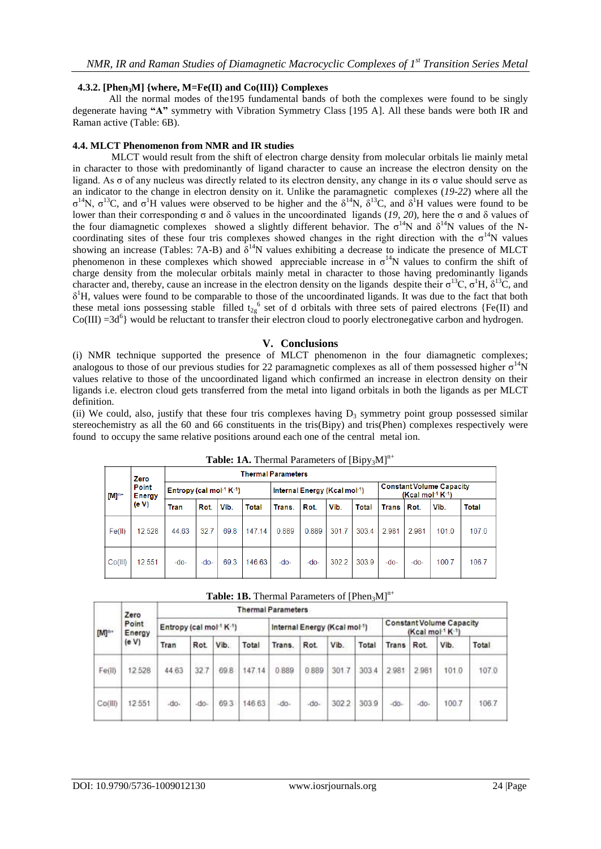## **4.3.2. [Phen3M] {where, M=Fe(II) and Co(III)} Complexes**

All the normal modes of the195 fundamental bands of both the complexes were found to be singly degenerate having **"A"** symmetry with Vibration Symmetry Class [195 A]. All these bands were both IR and Raman active (Table: 6B).

## **4.4. MLCT Phenomenon from NMR and IR studies**

MLCT would result from the shift of electron charge density from molecular orbitals lie mainly metal in character to those with predominantly of ligand character to cause an increase the electron density on the ligand. As σ of any nucleus was directly related to its electron density, any change in its σ value should serve as an indicator to the change in electron density on it. Unlike the paramagnetic complexes (*[19-22](#page-8-11)*) where all the  $σ^{14}N$ ,  $σ^{13}C$ , and  $σ^{1}H$  values were observed to be higher and the  $δ^{14}N$ ,  $δ^{13}C$ , and  $δ^{1}H$  values were found to be lower than their corresponding σ and δ values in the uncoordinated ligands (*[19,](#page-8-11) [20](#page-8-18)*), here the σ and δ values of the four diamagnetic complexes showed a slightly different behavior. The  $\sigma^{14}N$  and  $\delta^{14}N$  values of the Ncoordinating sites of these four tris complexes showed changes in the right direction with the  $\sigma^{14}N$  values showing an increase (Tables: 7A-B) and  $\delta^{14}N$  values exhibiting a decrease to indicate the presence of MLCT phenomenon in these complexes which showed appreciable increase in  $\sigma^{14}N$  values to confirm the shift of charge density from the molecular orbitals mainly metal in character to those having predominantly ligands character and, thereby, cause an increase in the electron density on the ligands despite their  $\sigma^{13}C$ ,  $\sigma^{1}H$ ,  $\delta^{13}\dot{C}$ , and  $\delta^1$ H, values were found to be comparable to those of the uncoordinated ligands. It was due to the fact that both these metal ions possessing stable filled  $t_{2g}$ <sup>6</sup> set of d orbitals with three sets of paired electrons {Fe(II) and  $Co(III) = 3d<sup>6</sup>$ } would be reluctant to transfer their electron cloud to poorly electronegative carbon and hydrogen.

## **V. Conclusions**

(i) NMR technique supported the presence of MLCT phenomenon in the four diamagnetic complexes; analogous to those of our previous studies for 22 paramagnetic complexes as all of them possessed higher  $\sigma^{14}N$ values relative to those of the uncoordinated ligand which confirmed an increase in electron density on their ligands i.e. electron cloud gets transferred from the metal into ligand orbitals in both the ligands as per MLCT definition.

(ii) We could, also, justify that these four tris complexes having  $D_3$  symmetry point group possessed similar stereochemistry as all the 60 and 66 constituents in the tris(Bipy) and tris(Phen) complexes respectively were found to occupy the same relative positions around each one of the central metal ion.

|                               | Zero   |                                           | <b>Thermal Parameters</b> |      |        |                              |        |       |       |                                                       |        |       |       |
|-------------------------------|--------|-------------------------------------------|---------------------------|------|--------|------------------------------|--------|-------|-------|-------------------------------------------------------|--------|-------|-------|
| Point<br>$[M]^{n+}$<br>Energy |        | Entropy (cal mol <sup>-1</sup> $K^{-1}$ ) |                           |      |        | Internal Energy (Kcal mol-1) |        |       |       | <b>Constant Volume Capacity</b><br>$(Kcal mol-1 K-1)$ |        |       |       |
|                               | (eV)   | Tran                                      | Rot.                      | Vib. | Total  | Trans.                       | Rot.   | Vib.  | Total | Trans   Rot.                                          |        | Vib.  | Total |
| Fe(II)                        | 12.528 | 44.63                                     | 32.7                      | 69.8 | 147.14 | 0.889                        | 0.889  | 301.7 | 303.4 | 2.981                                                 | 2.981  | 101.0 | 107.0 |
| Co(III)                       | 12.551 | $-do-$                                    | $-do-$                    | 69.3 | 146.63 | $-do-$                       | $-do-$ | 302.2 | 303.9 | $-do-$                                                | $-do-$ | 100.7 | 106.7 |

**Table: 1A.** Thermal Parameters of  $[Bipy_3M]^{n+}$ 

| <b>Table: 1B.</b> Thermal Parameters of $[Phen3M]^{n+}$ |
|---------------------------------------------------------|
|---------------------------------------------------------|

|                            | Zero   | <b>Thermal Parameters</b>                        |            |      |        |                                           |        |       |                                                       |       |       |       |                    |
|----------------------------|--------|--------------------------------------------------|------------|------|--------|-------------------------------------------|--------|-------|-------------------------------------------------------|-------|-------|-------|--------------------|
| Point<br>[M] <sup>n+</sup> | Energy | Entropy (cal mol <sup>-1</sup> K <sup>-1</sup> ) |            |      |        | Internal Energy (Kcal mol <sup>-1</sup> ) |        |       | <b>Constant Volume Capacity</b><br>$(Kcal mol-1 K-1)$ |       |       |       |                    |
|                            | (eV)   | Tran                                             | <b>Rot</b> | Vib. | Total  | Trans.                                    | Rot    | Vib.  | Total                                                 | Trans | Rot.  | Vib.  | Total              |
| Fe(li)                     | 12.528 | 44.63                                            | 32.7       | 69.8 | 147.14 | 0.889                                     | 0.889  | 301.7 | 303.4                                                 | 2.981 | 2.981 | 101.0 | 323235254<br>107.0 |
| Co(III)                    | 12.551 | $-do.$                                           | $-00-$     | 69.3 | 146.63 | $-00-$                                    | $-00-$ | 302.2 | 303.9                                                 | do.   | do.   | 100.7 | 106.7              |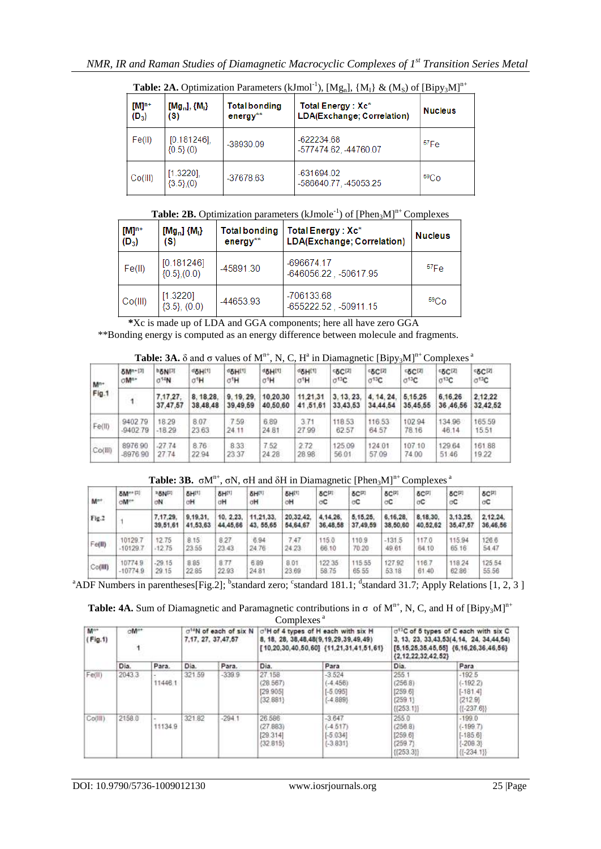| $[M]^{n+}$<br>$(D_3)$ | $[Mg_n], {M_1}$<br>(S)                   | <b>Total bonding</b><br>$energy**$ | Total Energy: Xc*<br>LDA(Exchange; Correlation) | <b>Nucleus</b>   |
|-----------------------|------------------------------------------|------------------------------------|-------------------------------------------------|------------------|
| Fe(II)                | [0.181246]<br>$(0.5)$ (0)                | -38930.09                          | $-622234.68$<br>-577474.62, -44760.07           | 57Fe             |
| Co(HI)                | $[1.3220]$ ,<br>$\{3.5\}$ <sub>(0)</sub> | -37678.63                          | $-631694.02$<br>-586640.77.45053.25             | 59 <sub>Co</sub> |

**Table: 2A.** Optimization Parameters (kJmol<sup>-1</sup>), [Mg<sub>n</sub>], {M<sub>I</sub>} & (M<sub>S</sub>) of [Bipy<sub>3</sub>M]<sup>n+</sup>

## **Table: 2B.** Optimization parameters (kJmole<sup>-1</sup>) of [Phen<sub>3</sub>M]<sup>n+</sup> Complexes

| $[M]^{n+}$<br>$(D_3)$ | $[Mg_n]$ $\{M_i\}$<br>(S)       | <b>Total bonding</b><br>$energy**$ | Total Energy: Xc*<br>LDA(Exchange; Correlation) | <b>Nucleus</b>   |
|-----------------------|---------------------------------|------------------------------------|-------------------------------------------------|------------------|
| Fe(II)                | [0.181246]<br>$\{0.5\}, (0.0)$  | -45891.30                          | $-696674.17$<br>-646056.22, -50617.95           | $57F_{\text{P}}$ |
| Co(H)                 | [1.3220]<br>$\{3.5\}$ , $(0.0)$ | -44653.93                          | -706133.68<br>-655222.52, -50911.15             | 59C <sub>O</sub> |

 **\***Xc is made up of LDA and GGA components; here all have zero GGA

\*\*Bonding energy is computed as an energy difference between molecule and fragments.

**Table: 3A.**  $\delta$  and  $\sigma$  values of  $M^{n+}$ , N, C, H<sup>a</sup> in Diamagnetic [Bipy<sub>3</sub>M]<sup>n+</sup> Complexes<sup>a</sup>

| M <sup>n+</sup> | <b>8Mn+[3]</b>   | boNI                | doH(1)               | <b>DIHED</b>         | <b>USHILL</b>        | d <sub>o</sub> H <sub>[1]</sub> | <b>66C[2]</b>        | <b>5C[2]</b>             | 65C(2)              | <b>62 C [2]</b>     | <b>SCI4</b>         |
|-----------------|------------------|---------------------|----------------------|----------------------|----------------------|---------------------------------|----------------------|--------------------------|---------------------|---------------------|---------------------|
|                 | oM <sup>n+</sup> | $0^{14}N$           | σΉ                   | σΉ.                  | σH                   | σ <sup>1</sup> Η                | $\sigma^{13}C$       | $\sigma$ <sup>13</sup> C | $C^{13}C$           | 0 <sup>13</sup> C   | $\sigma^{13}C$      |
| Fig.1           |                  | 7.17.27<br>37,47,57 | 8.18.28.<br>38.48.48 | 9.19.29.<br>39.49.59 | 10.20.30<br>40.50.60 | 11.21.31<br>41,51,61            | 3.13.23.<br>33.43.53 | 4.14.24<br>34.44.54      | 5.15.25<br>35,45,55 | 6.16.26<br>36.46.56 | 2.12.22<br>32.42.52 |
| Fe(II)          | 9402.79          | 18.29               | 8.07                 | 7.59                 | 6.89                 | 3.71                            | 118.53               | 116.53                   | 102.94              | 134.96              | 165.59              |
|                 | $-940279$        | $-18.29$            | 23.63                | 24.11                | 24.81                | 27.99                           | 62.57                | 64.57                    | 78.16               | 46.14               | 15.51               |
| Co(III)         | 897690           | $-27.74$            | 8.76                 | 8.33                 | 7.52                 | 2.72                            | 125.09               | 124.01                   | 107.10              | 129.64              | 16188               |
|                 | -8976 90         | 27.74               | 22.94                | 23.37                | 24 28                | 2898                            | 56.01                | 57.09                    | 74.00               | 51.46               | 19.22               |

**Table: 3B.**  $\sigma M^{n+}$ ,  $\sigma N$ ,  $\sigma H$  and  $\delta H$  in Diamagnetic [Phen<sub>3</sub>M]<sup>n+</sup> Complexes<sup>a</sup>

| <b>SM<sup>n+</sup></b> |               |             |             |             |             |          |                   |                  |            |                   |            |
|------------------------|---------------|-------------|-------------|-------------|-------------|----------|-------------------|------------------|------------|-------------------|------------|
| oM <sup>n+</sup>       | <b>PENITI</b> | <b>SHI!</b> | <b>SHIT</b> | <b>SHIP</b> | <b>SHIT</b> | 8CPI     | &C <sup>[2]</sup> | <b>&amp;C[2]</b> | <b>SCP</b> | δC <sub>[2]</sub> | <b>SCP</b> |
|                        | σN            | αH          | σH          | σH          | σH          | oC.      | σC                | öC               | аC         | оC                | oσ         |
|                        | 7.17.29.      | 9,19,31.    | 10. 2.23.   | 11.21.33.   | 20.32.42.   | 4.14.26. | 5.15.25.          | 6.16.28.         | 8,18.30    | 3.13.25.          | 2.12.24    |
|                        | 39,51,61      | 41,53,63    | 44,45,66    | 43, 55, 65  | 54,64,67    | 36,48.58 | 37,49,59          | 38,50,60         | 40,52,62   | 35,47,57          | 36,46,56   |
| 10129.7                | 12.75         | 8.15        | 8.27        | 6.94        | 7.47        | 115.0    | 110.9             | $-131.5$         | 117.0      | 115.94            | 126.6      |
| $-10129.$              | 12.75         | 23.55       | 23.43       | 24.76       | 24.23       | 66.10    | 70.20             | 49.61            | 64.10      | 65 16             | 54.47      |
| 107749                 | $-29.15$      | 8.85        | 8.77        | 6.89        | 8.01        | 122 35   | 115.55            | 127.92           | 116.7      | 118.24            | 125.54     |
| $-10774.9$             | 29.15         | 22 85       | 22.93       | 24 81       | 23.69       | 58.75    | 65.55             | 53.18            | 61.40      | 62.86             | 55.56      |
|                        |               |             |             |             |             |          |                   |                  |            |                   |            |

<sup>a</sup>ADF Numbers in parentheses[Fig.2]; <sup>b</sup>standard zero;  $\text{c}$ standard 181.1;  $\text{d}$ standard 31.7; Apply Relations [1, 2, 3]

**Table: 4A.** Sum of Diamagnetic and Paramagnetic contributions in  $\sigma$  of  $M^{n+}$ , N, C, and H of  $[Bipy_3M]^{n+}$ Complexes<sup>a</sup>

|                            |                            |         |                                                                                                           |          | COMPICAÇIO                                 |                                                                                         |                                                                                                                                                                                 |                                                                   |  |
|----------------------------|----------------------------|---------|-----------------------------------------------------------------------------------------------------------|----------|--------------------------------------------|-----------------------------------------------------------------------------------------|---------------------------------------------------------------------------------------------------------------------------------------------------------------------------------|-------------------------------------------------------------------|--|
| M <sup>n+</sup><br>(Fig.1) | oM <sup>n+</sup><br>30 H G |         | o <sup>14</sup> N of each of six N o <sup>1</sup> H of 4 types of H each with six H<br>7.17. 27. 37.47.57 |          |                                            | 8, 18, 28, 38, 48, 48(9, 19, 29, 39, 49, 49)<br>[10,20,30,40,50,60] (11,21,31,41,51,61) | o <sup>13</sup> C of 6 types of C each with six C<br>3, 13, 23, 33, 43, 53 (4, 14, 24, 34, 44, 54)<br>$[6, 15, 25, 35, 45, 55]$ $(6, 16, 26, 36, 46, 56)$<br>(2.12.22.32.42.52) |                                                                   |  |
|                            | Dia.                       | Para.   | Dia.                                                                                                      | Para.    | Dia.                                       | Para                                                                                    | Dia.                                                                                                                                                                            | Para                                                              |  |
| Fe(II)                     | 2043.3                     | 11446.1 | 321.59                                                                                                    | $-339.9$ | 27 158<br>(28.567)<br>[29.905]<br>(32.881) | $-3.524$<br>$(-4, 456)$<br>$[-5.095]$<br>$(-4.889)$                                     | 255<br>(256.8)<br>[259.6]<br>(259.1)<br>${[253,11]}$                                                                                                                            | $-192.5$<br>$(-192.2)$<br>$[-181.4]$<br>[212.9]<br>${[-237.6]}$   |  |
| Co(III)                    | 2158.0                     | 11134.9 | 321.82                                                                                                    | $-294.1$ | 26,586<br>(27.883)<br>[29.314]<br>(32.815) | $-3.647$<br>$(-4, 517)$<br>$[-5.034]$<br>$[-3.831]$                                     | 255.0<br>(256.8)<br>[259.6]<br>(259.7)<br>{{253.3}}                                                                                                                             | $-199.0$<br>$(-199.7)$<br>$[-185.6]$<br>$(-208.3)$<br>$(1-234.1)$ |  |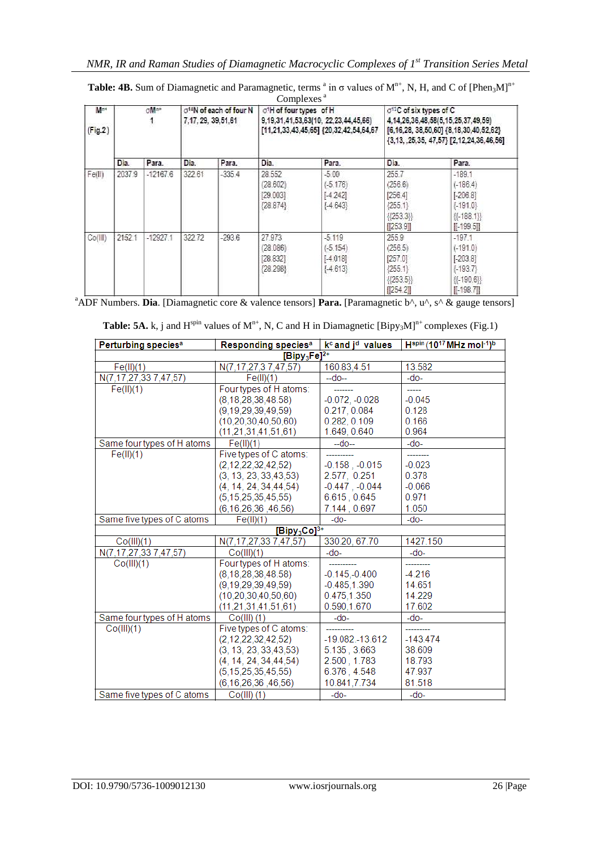|                |                  |            |                                                             |          | Complexes <sup>a</sup>                       |                                                                                          |                                                                                                                                                                    |                                                                                       |  |
|----------------|------------------|------------|-------------------------------------------------------------|----------|----------------------------------------------|------------------------------------------------------------------------------------------|--------------------------------------------------------------------------------------------------------------------------------------------------------------------|---------------------------------------------------------------------------------------|--|
| Mn+<br>(Fig.2) | oM <sup>n+</sup> |            | o <sup>14</sup> N of each of four N<br>7,17, 29, 39, 51, 61 |          | o <sup>1</sup> H of four types of H          | 9, 19, 31, 41, 53, 63 (10, 22, 23, 44, 45, 66)<br>[11,21,33,43,45,65] {20,32,42,54,64,67 | $\sigma^{13}$ C of six types of C<br>4.14.26.36.48.58(5.15.25.37.49.59)<br>[6,16,28, 38,50,60] {8,18,30,40,52,62}<br>${3, 13, .25, 35, 47, 57}$ [2,12,24,36,46,56] |                                                                                       |  |
|                | Dia.             | Para.      | Dia.                                                        | Para.    | Dia.                                         | Para.                                                                                    | Dia.                                                                                                                                                               | Para.                                                                                 |  |
| Fe(II)         | 2037.9           | $-12167.6$ | 322.61                                                      | $-335.4$ | 28.552<br>(28.602)<br>[29.003]<br>${28.874}$ | $-5.00$<br>$(-5.176)$<br>$[-4.242]$<br>$[-4.643]$                                        | 255.7<br>(256.6)<br>[256.4]<br>[255.1]<br>$[{253.3}]$<br>[253.9]                                                                                                   | $-189.1$<br>$(-186.4)$<br>$[-206.8]$<br>$[-191.0]$<br>용-188.1}}<br>$[-.199.5]$        |  |
| Co(III)        | 2152.1           | $-12927.1$ | 322.72                                                      | $-293.6$ | 27,973<br>(28.086)<br>[28.832]<br>{28.298}   | $-5.119$<br>$(-5.154)$<br>$[-4.018]$<br>[4.613]                                          | 255.9<br>(256.5)<br>[257.0]<br>[255.1]<br>${[253.5]}$<br>[254.2]                                                                                                   | $-197.1$<br>$(-191.0)$<br>$[-203.8]$<br>$[-193.7]$<br>${[1 - 190.6]}$<br>$[[-198.7]]$ |  |

**Table: 4B.** Sum of Diamagnetic and Paramagnetic, terms  $a$  in  $\sigma$  values of  $M^{n+}$ , N, H, and C of [Phen<sub>3</sub>M]<sup>n+</sup>

a<br>ADF Numbers. **Dia**. [Diamagnetic core & valence tensors] **Para.** [Paramagnetic b<sup>^</sup>, u<sup>^</sup>, s<sup>^</sup> & gauge tensors]

| <b>Table: 5A.</b> k, j and $H^{\text{spin}}$ values of $M^{n+}$ , N, C and H in Diamagnetic [Bipy <sub>3</sub> M] <sup>n+</sup> complexes (Fig.1) |  |  |  |  |
|---------------------------------------------------------------------------------------------------------------------------------------------------|--|--|--|--|
|---------------------------------------------------------------------------------------------------------------------------------------------------|--|--|--|--|

| Perturbing species <sup>a</sup> | Responding species <sup>a</sup> | $kc$ and j <sup>d</sup> values | $H^{spin}$ (10 <sup>17</sup> MHz mol <sup>-1</sup> ) <sup>b</sup> |
|---------------------------------|---------------------------------|--------------------------------|-------------------------------------------------------------------|
|                                 | $[Bipy_3Fe]^{2+}$               |                                |                                                                   |
| Fe(H)(1)                        | N(7.17.27.37.47.57)             | 160.83,4.51                    | 13.582                                                            |
| N(7,17,27,33 7,47,57)           | Fe(II)(1)                       | $-d0-$                         | $-do-$                                                            |
| Fe(II)(1)                       | Fourtypes of H atoms:           |                                | -----                                                             |
|                                 | (8, 18, 28, 38, 48, 58)         | $-0.072, -0.028$               | $-0.045$                                                          |
|                                 | (9, 19, 29, 39, 49, 59)         | 0.217, 0.084                   | 0.128                                                             |
|                                 | (10, 20, 30, 40, 50, 60)        | 0.282, 0.109                   | 0.166                                                             |
|                                 | (11, 21, 31, 41, 51, 61)        | 1.649, 0.640                   | 0.964                                                             |
| Same four types of H atoms      | Fe(H)(1)                        | $-do-$                         | -do-                                                              |
| Fe(II)(1)                       | Five types of C atoms:          |                                | ----------                                                        |
|                                 | (2,12,22,32,42,52)              | $-0.158$ , $-0.015$            | $-0.023$                                                          |
|                                 | (3, 13, 23, 33, 43, 53)         | 2.577, 0.251                   | 0.378                                                             |
|                                 | (4.14.24.34.44.54)              | $-0.447$ $-0.044$              | $-0.066$                                                          |
|                                 | (5, 15, 25, 35, 45, 55)         | 6.615, 0.645                   | 0.971                                                             |
|                                 | (6, 16, 26, 36, 46, 56)         | 7.144, 0.697                   | 1.050                                                             |
| Same five types of C atoms      | Fe(II)(1)                       | $-do-$                         | $-do-$                                                            |
|                                 | $[Bipy_3Co]^{3+}$               |                                |                                                                   |
| Co(HI)(1)                       | N(7,17,27,337,47,57)            | 330.20, 67.70                  | 1427.150                                                          |
| N(7,17,27,33 7,47,57)           | Co(HI)(1)                       | $-do-$                         | -do-                                                              |
| Co(III)(1)                      | Fourtypes of H atoms:           |                                |                                                                   |
|                                 | (8, 18, 28, 38, 48, 58)         | $-0.145,-0.400$                | $-4.216$                                                          |
|                                 | (9, 19, 29, 39, 49, 59)         | $-0.485, 1.390$                | 14.651                                                            |
|                                 | (10, 20, 30, 40, 50, 60)        | 0.475,1.350                    | 14.229                                                            |
|                                 | (11, 21, 31, 41, 51, 61)        | 0.590,1.670                    | 17.602                                                            |
| Same four types of H atoms      | $Co(HI)$ (1)                    | -do-                           | $-do-$                                                            |
| Co(HI)(1)                       | Five types of C atoms:          |                                |                                                                   |
|                                 | (2.12.22.32.42.52)              | $-19.082 - 13.612$             | $-143.474$                                                        |
|                                 | (3, 13, 23, 33, 43, 53)         | 5.135, 3.663                   | 38.609                                                            |
|                                 | (4, 14, 24, 34, 44, 54)         | 2.500, 1.783                   | 18.793                                                            |
|                                 | (5, 15, 25, 35, 45, 55)         | 6.376, 4.548                   | 47.937                                                            |
|                                 | (6, 16, 26, 36, 46, 56)         | 10.841,7.734                   | 81.518                                                            |
| Same five types of C atoms      | $Co(HI)$ (1)                    | $-do-$                         | $-do-$                                                            |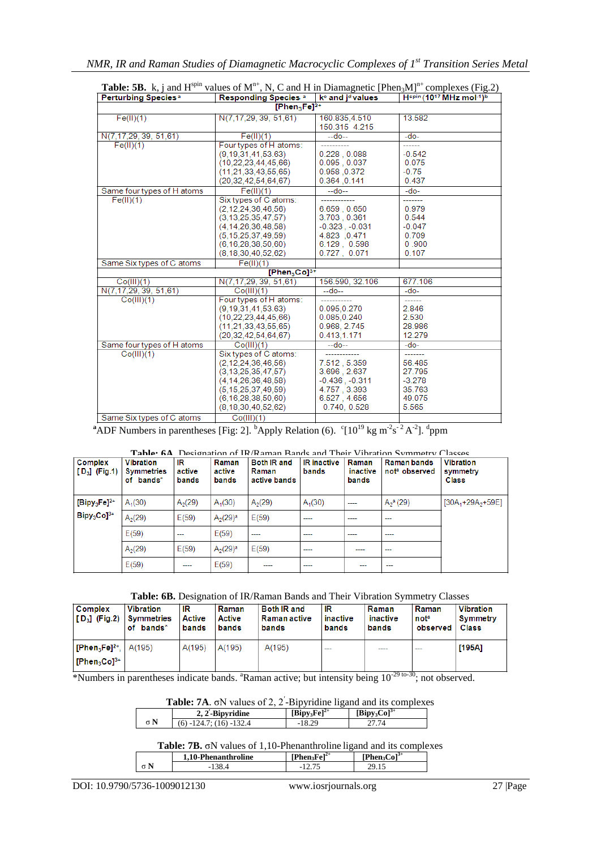| Perturbing Species <sup>a</sup> | <b>Responding Species a</b>                                                                                                                                              | k <sup>o</sup> and i <sup>d</sup> values                                                                    | Hspin (1017 MHz mol-1)b                                               |
|---------------------------------|--------------------------------------------------------------------------------------------------------------------------------------------------------------------------|-------------------------------------------------------------------------------------------------------------|-----------------------------------------------------------------------|
|                                 | [Phen <sub>3</sub> Fe] <sup>2+</sup>                                                                                                                                     |                                                                                                             |                                                                       |
| Fe(II)(1)                       | N(7,17,29, 39, 51,61)                                                                                                                                                    | 160.835,4.510<br>150.315 4.215                                                                              | 13.582                                                                |
| N(7,17,29, 39, 51,61)           | Fe(II)(1)                                                                                                                                                                | --do--                                                                                                      | $-do-$                                                                |
| Fe(II)(1)                       | Four types of H atoms:<br>(9.19.31.41.53.63)<br>(10, 22, 23, 44, 45, 66)                                                                                                 | 0.228.0.088<br>0.095, 0.037                                                                                 | ------<br>$-0.542$<br>0.075                                           |
|                                 | (11, 21, 33, 43, 55, 65)<br>(20, 32, 42, 54, 64, 67)                                                                                                                     | 0.958,0.372<br>0.364 .0.141                                                                                 | $-0.75$<br>0.437                                                      |
| Same four types of H atoms      | Fe(II)(1)                                                                                                                                                                | $-do-$                                                                                                      | -do-                                                                  |
| Fe(II)(1)                       | Six types of C atoms:<br>(2.12.24.36.46.56)<br>(3.13.25.35.47.57)<br>(4, 14, 26, 36, 48, 58)<br>(5.15.25.37.49.59)<br>(6, 16, 28, 38, 50, 60)<br>(8, 18, 30, 40, 52, 62) | 6.659, 0.650<br>3.703, 0.361<br>$-0.323 - 0.031$<br>4.823 .0.471<br>6.129, 0.598<br>0.727, 0.071            | .<br>0.979<br>0.544<br>$-0.047$<br>0.709<br>0.900<br>0.107            |
| Same Six types of C atoms       | Fe(II)(1)                                                                                                                                                                |                                                                                                             |                                                                       |
|                                 | $[Phen3Co]^{3+}$                                                                                                                                                         |                                                                                                             |                                                                       |
| Co(III)(1)                      | N(7,17,29, 39, 51,61)                                                                                                                                                    | 156.590, 32.106                                                                                             | 677.106                                                               |
| N(7,17,29, 39, 51,61)           | Co(III)(1)                                                                                                                                                               | $-do-$                                                                                                      | $-do-$                                                                |
| Co(III)(1)                      | Four types of H atoms:<br>(9.19.31.41.53.63)<br>(10, 22, 23, 44, 45, 66)<br>(11.21.33.43.55.65)<br>(20, 32, 42, 54, 64, 67)                                              | 0.095.0.270<br>0.085,0.240<br>0.968, 2.745<br>0.413.1.171                                                   | -------<br>2.846<br>2.530<br>28.986<br>12.279                         |
| Same four types of H atoms      | Co(III)(1)                                                                                                                                                               | $-do-$                                                                                                      | $-do-$                                                                |
| Co(HI)(1)                       | Six types of C atoms:<br>(2.12.24.36.46.56)<br>(3, 13, 25, 35, 47, 57)<br>(4.14.26.36.48.58)<br>(5, 15, 25, 37, 49, 59)<br>(6.16.28.38.50.60)<br>(8, 18, 30, 40, 52, 62) | -------<br>7.512, 5.359<br>3.696, 2.637<br>$-0.436 - 0.311$<br>4.757, 3.393<br>6.527, 4.656<br>0.740, 0.528 | --------<br>56.485<br>27.795<br>$-3.278$<br>35.763<br>49.075<br>5.565 |
| Same Six types of C atoms       | Co(HI)(1)                                                                                                                                                                |                                                                                                             |                                                                       |

| <b>Table: 5B.</b> k, j and $H^{spn}$ values of $M^{n+}$ , N, C and H in Diamagnetic [Phen <sub>3</sub> $M^{n+}$ complexes (Fig.2) |                                              |               |                         |  |  |  |  |
|-----------------------------------------------------------------------------------------------------------------------------------|----------------------------------------------|---------------|-------------------------|--|--|--|--|
| <b>Perturbing Species<sup>a</sup></b>                                                                                             | Responding Species $a \mid k^c$ and jdvalues |               | Hspin (1017 MHz mol-1)b |  |  |  |  |
|                                                                                                                                   | $[Phen_2Fe]^{2+}$                            |               |                         |  |  |  |  |
| Fe(II)(1)                                                                                                                         | N(7,17,29, 39, 51,61)                        | 160.835.4.510 | 13.582                  |  |  |  |  |
|                                                                                                                                   |                                              | 150.315 4.215 |                         |  |  |  |  |
| N(7.17.29, 39, 51.61)                                                                                                             | Fe(II)(1)                                    | $-$ do $-$    | -do-                    |  |  |  |  |
| Fe(II)(1)                                                                                                                         | Four types of H atoms:                       |               |                         |  |  |  |  |

<sup>a</sup>ADF Numbers in parentheses [Fig: 2]. <sup>b</sup>Apply Relation (6).  $\rm ^c[10^{19} \text{ kg m}^2s^2A^2]$ . <sup>d</sup>ppm

|                            |                                                    |                       |                          |                                             |                             |                            | <b>Table: 6A</b> Designation of IR/Raman Bands and Their Vibration Symmetry Classes |                                              |
|----------------------------|----------------------------------------------------|-----------------------|--------------------------|---------------------------------------------|-----------------------------|----------------------------|-------------------------------------------------------------------------------------|----------------------------------------------|
| Complex<br>$[D_3]$ (Fig.1) | <b>Vibration</b><br><b>Symmetries</b><br>of bands* | IR<br>active<br>bands | Raman<br>active<br>bands | <b>Both IR and</b><br>Raman<br>active bands | <b>IR</b> inactive<br>bands | Raman<br>inactive<br>bands | <b>Raman bands</b><br>not <sup>a</sup> observed                                     | <b>Vibration</b><br>symmetry<br><b>Class</b> |
| $[Bipy_3Fe]^{2+}$          | $A_1(30)$                                          | A <sub>2</sub> (29)   | $A_1(30)$                | A <sub>2</sub> (29)                         | $A_1(30)$                   | ----                       | $A_2^a(29)$                                                                         | $[30A_1 + 29A_2 + 59E]$                      |
| $Bipy_3Co]^{3+}$           | A <sub>2</sub> (29)                                | E(59)                 | $A_2(29)^a$              | E(59)                                       | ----                        | ----                       | $\qquad \qquad -$                                                                   |                                              |
|                            | E(59)                                              | ---                   | E(59)                    |                                             | ----                        | ----                       | ----                                                                                |                                              |
|                            | A <sub>2</sub> (29)                                | E(59)                 | $A_2(29)^a$              | E(59)                                       | ----                        | ----                       | ---                                                                                 |                                              |
|                            | E(59)                                              | ----                  | E(59)                    | ----                                        | ----                        | ---                        | ---                                                                                 |                                              |

**Table: 6B.** Designation of IR/Raman Bands and Their Vibration Symmetry Classes

| <b>Complex</b><br>$ $ [D <sub>3</sub> ] (Fig.2) Symmetries | <b>Vibration</b><br>of bands <sup>*</sup> | ΙR<br><b>Active</b><br><b>bands</b> | Raman<br><b>Active</b><br>bands | <b>Both IR and</b><br>  Raman active <br>bands | -IR<br>inactive<br>bands | Raman<br>inactive<br>bands | Raman<br>nota<br>observed | <b>Vibration</b><br>Symmetry<br>Class |
|------------------------------------------------------------|-------------------------------------------|-------------------------------------|---------------------------------|------------------------------------------------|--------------------------|----------------------------|---------------------------|---------------------------------------|
| $ [Phen_3Fe]^{2+}$ , $ A(195) $                            |                                           | A(195)                              | A(195)                          | A(195)                                         | $\overline{\phantom{a}}$ |                            | ---                       | [195A]                                |
| $\mathsf{IPhen}_3\mathsf{Col}^{3+}$                        |                                           |                                     |                                 |                                                |                          |                            |                           |                                       |

\*Numbers in parentheses indicate bands.  ${}^{a}$ Raman active; but intensity being  $10^{-29}$  to-30; not observed.

|  | <b>Table: 7A.</b> $\sigma$ N values of 2, 2 - Bipyridine ligand and its complexes |                                                       |  |  |
|--|-----------------------------------------------------------------------------------|-------------------------------------------------------|--|--|
|  |                                                                                   | $m_1$ , $n_2$ + $\frac{1}{2}$ , $m_1$ , $\frac{3}{2}$ |  |  |

|            | 2, 2 - Bipyridine            | $[Bipv_3Fe]^{2+}$ | $[Bipy_3Co]^{3+}$ |
|------------|------------------------------|-------------------|-------------------|
| $\sigma N$ | $(6) -124.7$ ; $(16) -132.4$ |                   |                   |
|            |                              |                   |                   |

## **Table: 7B.** σN values of 1,10-Phenanthroline ligand and its complexes

|            | $.10-P1$              | m                     | <b>COLU</b>   |
|------------|-----------------------|-----------------------|---------------|
|            | <b>Phenanthroline</b> | $T_0$ 1 <sup>2+</sup> | $\sim 1^{3+}$ |
| $\sigma$ N |                       |                       | .             |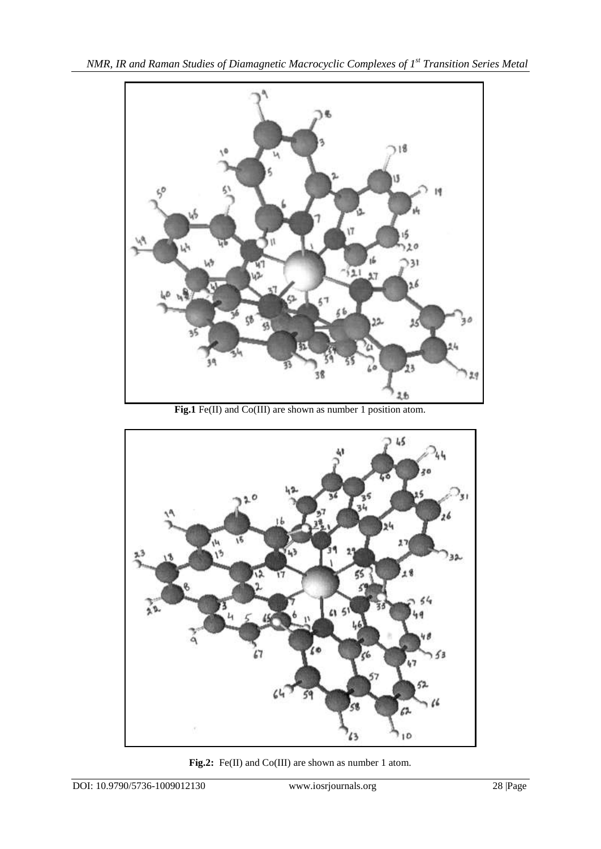

**Fig.1** Fe(II) and Co(III) are shown as number 1 position atom.



**Fig.2:** Fe(II) and Co(III) are shown as number 1 atom.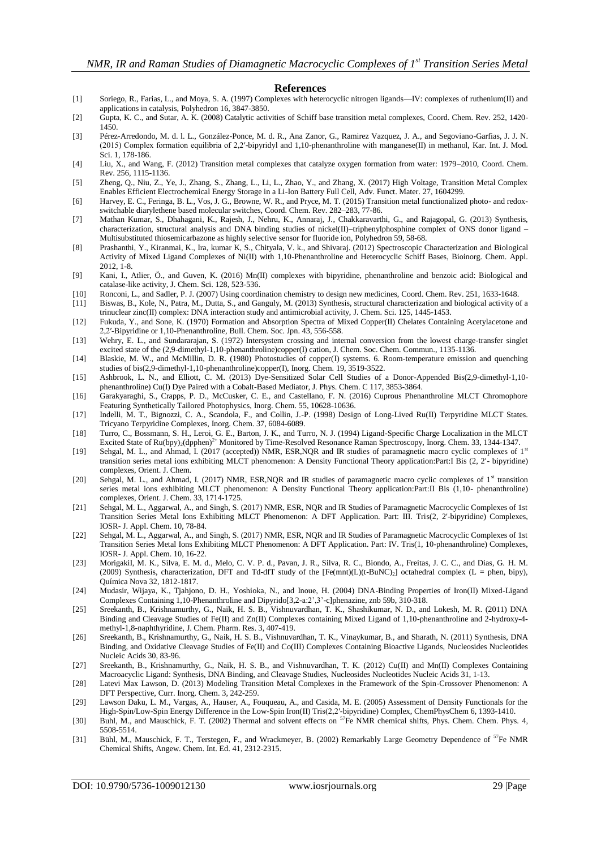#### **References**

- <span id="page-8-0"></span>[1] Soriego, R., Farias, L., and Moya, S. A. (1997) Complexes with heterocyclic nitrogen ligands—IV: complexes of ruthenium(II) and applications in catalysis, Polyhedron 16, 3847-3850.
- <span id="page-8-1"></span>[2] Gupta, K. C., and Sutar, A. K. (2008) Catalytic activities of Schiff base transition metal complexes, Coord. Chem. Rev. 252, 1420- 1450.
- <span id="page-8-2"></span>[3] Pérez-Arredondo, M. d. l. L., González-Ponce, M. d. R., Ana Zanor, G., Ramirez Vazquez, J. A., and Segoviano-Garfias, J. J. N. (2015) Complex formation equilibria of 2,2′-bipyridyl and 1,10-phenanthroline with manganese(II) in methanol, Kar. Int. J. Mod. Sci. 1, 178-186.
- <span id="page-8-3"></span>[4] Liu, X., and Wang, F. (2012) Transition metal complexes that catalyze oxygen formation from water: 1979–2010, Coord. Chem. Rev. 256, 1115-1136.
- <span id="page-8-4"></span>[5] Zheng, Q., Niu, Z., Ye, J., Zhang, S., Zhang, L., Li, L., Zhao, Y., and Zhang, X. (2017) High Voltage, Transition Metal Complex Enables Efficient Electrochemical Energy Storage in a Li-Ion Battery Full Cell, Adv. Funct. Mater. 27, 1604299.
- <span id="page-8-5"></span>[6] Harvey, E. C., Feringa, B. L., Vos, J. G., Browne, W. R., and Pryce, M. T. (2015) Transition metal functionalized photo- and redoxswitchable diarylethene based molecular switches, Coord. Chem. Rev. 282–283, 77-86.
- <span id="page-8-6"></span>[7] Mathan Kumar, S., Dhahagani, K., Rajesh, J., Nehru, K., Annaraj, J., Chakkaravarthi, G., and Rajagopal, G. (2013) Synthesis, characterization, structural analysis and DNA binding studies of nickel(II)–triphenylphosphine complex of ONS donor ligand – Multisubstituted thiosemicarbazone as highly selective sensor for fluoride ion, Polyhedron 59, 58-68.
- [8] Prashanthi, Y., Kiranmai, K., Ira, kumar K, S., Chityala, V. k., and Shivaraj. (2012) Spectroscopic Characterization and Biological Activity of Mixed Ligand Complexes of Ni(II) with 1,10-Phenanthroline and Heterocyclic Schiff Bases, Bioinorg. Chem. Appl. 2012, 1-8.
- [9] Kani, I., Atlier, Ö., and Guven, K. (2016) Mn(II) complexes with bipyridine, phenanthroline and benzoic acid: Biological and catalase-like activity, J. Chem. Sci. 128, 523-536.
- [10] Ronconi, L., and Sadler, P. J. (2007) Using coordination chemistry to design new medicines, Coord. Chem. Rev. 251, 1633-1648.
- [11] Biswas, B., Kole, N., Patra, M., Dutta, S., and Ganguly, M. (2013) Synthesis, structural characterization and biological activity of a trinuclear zinc(II) complex: DNA interaction study and antimicrobial activity, J. Chem. Sci. 125, 1445-1453.
- <span id="page-8-7"></span>[12] Fukuda, Y., and Sone, K. (1970) Formation and Absorption Spectra of Mixed Copper(II) Chelates Containing Acetylacetone and 2,2′-Bipyridine or 1,10-Phenanthroline, Bull. Chem. Soc. Jpn. 43, 556-558.
- <span id="page-8-8"></span>[13] Wehry, E. L., and Sundararajan, S. (1972) Intersystem crossing and internal conversion from the lowest charge-transfer singlet excited state of the (2,9-dimethyl-1,10-phenanthroline)copper(I) cation, J. Chem. Soc. Chem. Commun., 1135-1136.
- [14] Blaskie, M. W., and McMillin, D. R. (1980) Photostudies of copper(I) systems. 6. Room-temperature emission and quenching studies of bis(2,9-dimethyl-1,10-phenanthroline)copper(I), Inorg. Chem. 19, 3519-3522.
- [15] Ashbrook, L. N., and Elliott, C. M. (2013) Dye-Sensitized Solar Cell Studies of a Donor-Appended Bis(2,9-dimethyl-1,10 phenanthroline) Cu(I) Dye Paired with a Cobalt-Based Mediator, J. Phys. Chem. C 117, 3853-3864.
- [16] Garakyaraghi, S., Crapps, P. D., McCusker, C. E., and Castellano, F. N. (2016) Cuprous Phenanthroline MLCT Chromophore Featuring Synthetically Tailored Photophysics, Inorg. Chem. 55, 10628-10636.
- <span id="page-8-9"></span>[17] Indelli, M. T., Bignozzi, C. A., Scandola, F., and Collin, J.-P. (1998) Design of Long-Lived Ru(II) Terpyridine MLCT States. Tricyano Terpyridine Complexes, Inorg. Chem. 37, 6084-6089.
- <span id="page-8-10"></span>[18] Turro, C., Bossmann, S. H., Leroi, G. E., Barton, J. K., and Turro, N. J. (1994) Ligand-Specific Charge Localization in the MLCT Excited State of Ru(bpy)<sub>2</sub>(dpphen)<sup>2+</sup> Monitored by Time-Resolved Resonance Raman Spectroscopy, Inorg. Chem. 33, 1344-1347.
- <span id="page-8-11"></span>[19] Sehgal, M. L., and Ahmad, I. (2017 (accepted)) NMR, ESR,NQR and IR studies of paramagnetic macro cyclic complexes of 1<sup>st</sup> transition series metal ions exhibiting MLCT phenomenon: A Density Functional Theory application:Part:I Bis (2, 2'- bipyridine) complexes, Orient. J. Chem.
- <span id="page-8-18"></span>[20] Sehgal, M. L., and Ahmad, I. (2017) NMR, ESR,NQR and IR studies of paramagnetic macro cyclic complexes of 1<sup>st</sup> transition series metal ions exhibiting MLCT phenomenon: A Density Functional Theory application:Part:II Bis (1,10- phenanthroline) complexes, Orient. J. Chem. 33, 1714-1725.
- [21] Sehgal, M. L., Aggarwal, A., and Singh, S. (2017) NMR, ESR, NQR and IR Studies of Paramagnetic Macrocyclic Complexes of 1st Transition Series Metal Ions Exhibiting MLCT Phenomenon: A DFT Application. Part: III. Tris(2, 2'-bipyridine) Complexes, IOSR- J. Appl. Chem. 10, 78-84.
- [22] Sehgal, M. L., Aggarwal, A., and Singh, S. (2017) NMR, ESR, NQR and IR Studies of Paramagnetic Macrocyclic Complexes of 1st Transition Series Metal Ions Exhibiting MLCT Phenomenon: A DFT Application. Part: IV. Tris(1, 10-phenanthroline) Complexes, IOSR- J. Appl. Chem. 10, 16-22.
- <span id="page-8-17"></span>[23] MorigakiI, M. K., Silva, E. M. d., Melo, C. V. P. d., Pavan, J. R., Silva, R. C., Biondo, A., Freitas, J. C. C., and Dias, G. H. M. (2009) Synthesis, characterization, DFT and Td-dfT study of the  $[Fe(mnt)(L)(t-BuNC)<sub>2</sub>]$  octahedral complex (L = phen, bipy), Química Nova 32, 1812-1817.
- <span id="page-8-12"></span>[24] Mudasir, Wijaya, K., Tjahjono, D. H., Yoshioka, N., and Inoue, H. (2004) DNA-Binding Properties of Iron(II) Mixed-Ligand Complexes Containing 1,10-Phenanthroline and Dipyrido[3,2-a:2',3'-c]phenazine, znb 59b, 310-318.
- [25] Sreekanth, B., Krishnamurthy, G., Naik, H. S. B., Vishnuvardhan, T. K., Shashikumar, N. D., and Lokesh, M. R. (2011) DNA Binding and Cleavage Studies of Fe(II) and Zn(II) Complexes containing Mixed Ligand of 1,10-phenanthroline and 2-hydroxy-4 methyl-1,8-naphthyridine, J. Chem. Pharm. Res. 3, 407-419.
- [26] Sreekanth, B., Krishnamurthy, G., Naik, H. S. B., Vishnuvardhan, T. K., Vinaykumar, B., and Sharath, N. (2011) Synthesis, DNA Binding, and Oxidative Cleavage Studies of Fe(II) and Co(III) Complexes Containing Bioactive Ligands, Nucleosides Nucleotides Nucleic Acids 30, 83-96.
- [27] Sreekanth, B., Krishnamurthy, G., Naik, H. S. B., and Vishnuvardhan, T. K. (2012) Cu(II) and Mn(II) Complexes Containing Macroacyclic Ligand: Synthesis, DNA Binding, and Cleavage Studies, Nucleosides Nucleotides Nucleic Acids 31, 1-13.
- <span id="page-8-13"></span>[28] Latevi Max Lawson, D. (2013) Modeling Transition Metal Complexes in the Framework of the Spin-Crossover Phenomenon: A DFT Perspective, Curr. Inorg. Chem. 3, 242-259.
- <span id="page-8-14"></span>[29] Lawson Daku, L. M., Vargas, A., Hauser, A., Fouqueau, A., and Casida, M. E. (2005) Assessment of Density Functionals for the High-Spin/Low-Spin Energy Difference in the Low-Spin Iron(II) Tris(2,2′-bipyridine) Complex, ChemPhysChem 6, 1393-1410.
- <span id="page-8-15"></span>[30] Buhl, M., and Mauschick, F. T. (2002) Thermal and solvent effects on <sup>57</sup>Fe NMR chemical shifts, Phys. Chem. Chem. Phys. 4, 5508-5514.
- <span id="page-8-16"></span>[31] Bühl, M., Mauschick, F. T., Terstegen, F., and Wrackmeyer, B. (2002) Remarkably Large Geometry Dependence of <sup>57</sup>Fe NMR Chemical Shifts, Angew. Chem. Int. Ed. 41, 2312-2315.